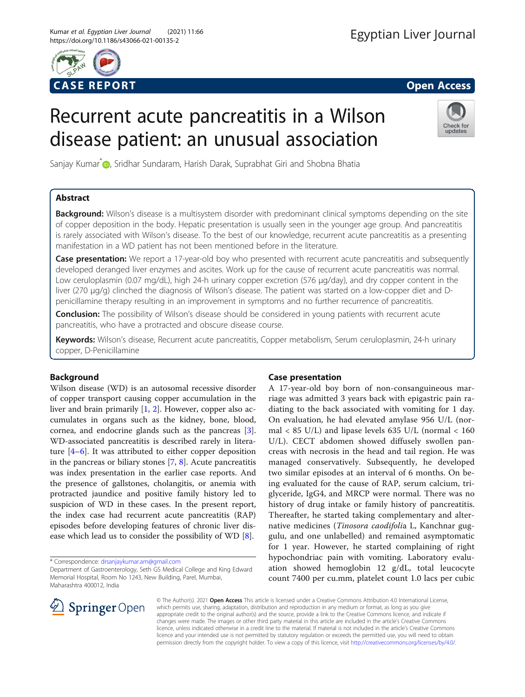

# Recurrent acute pancreatitis in a Wilson disease patient: an unusual association



Sanjay Kumar<sup>\*</sup> <sub>D</sub>[,](http://orcid.org/0000-0002-8345-9591) Sridhar Sundaram, Harish Darak, Suprabhat Giri and Shobna Bhatia

# Abstract

Background: Wilson's disease is a multisystem disorder with predominant clinical symptoms depending on the site of copper deposition in the body. Hepatic presentation is usually seen in the younger age group. And pancreatitis is rarely associated with Wilson's disease. To the best of our knowledge, recurrent acute pancreatitis as a presenting manifestation in a WD patient has not been mentioned before in the literature.

Case presentation: We report a 17-year-old boy who presented with recurrent acute pancreatitis and subsequently developed deranged liver enzymes and ascites. Work up for the cause of recurrent acute pancreatitis was normal. Low ceruloplasmin (0.07 mg/dL), high 24-h urinary copper excretion (576 μg/day), and dry copper content in the liver (270 μg/g) clinched the diagnosis of Wilson's disease. The patient was started on a low-copper diet and Dpenicillamine therapy resulting in an improvement in symptoms and no further recurrence of pancreatitis.

**Conclusion:** The possibility of Wilson's disease should be considered in young patients with recurrent acute pancreatitis, who have a protracted and obscure disease course.

Keywords: Wilson's disease, Recurrent acute pancreatitis, Copper metabolism, Serum ceruloplasmin, 24-h urinary copper, D-Penicillamine

# Background

Wilson disease (WD) is an autosomal recessive disorder of copper transport causing copper accumulation in the liver and brain primarily [\[1](#page-3-0), [2](#page-3-0)]. However, copper also accumulates in organs such as the kidney, bone, blood, cornea, and endocrine glands such as the pancreas [\[3](#page-3-0)]. WD-associated pancreatitis is described rarely in literature [\[4](#page-3-0)–[6\]](#page-3-0). It was attributed to either copper deposition in the pancreas or biliary stones [\[7](#page-3-0), [8](#page-3-0)]. Acute pancreatitis was index presentation in the earlier case reports. And the presence of gallstones, cholangitis, or anemia with protracted jaundice and positive family history led to suspicion of WD in these cases. In the present report, the index case had recurrent acute pancreatitis (RAP) episodes before developing features of chronic liver disease which lead us to consider the possibility of WD [[8\]](#page-3-0).

\* Correspondence: [drsanjaykumar.am@gmail.com](mailto:drsanjaykumar.am@gmail.com)

# Case presentation

A 17-year-old boy born of non-consanguineous marriage was admitted 3 years back with epigastric pain radiating to the back associated with vomiting for 1 day. On evaluation, he had elevated amylase 956 U/L (normal  $<$  85 U/L) and lipase levels 635 U/L (normal  $<$  160 U/L). CECT abdomen showed diffusely swollen pancreas with necrosis in the head and tail region. He was managed conservatively. Subsequently, he developed two similar episodes at an interval of 6 months. On being evaluated for the cause of RAP, serum calcium, triglyceride, IgG4, and MRCP were normal. There was no history of drug intake or family history of pancreatitis. Thereafter, he started taking complementary and alternative medicines (Tinosora caodifolia L, Kanchnar guggulu, and one unlabelled) and remained asymptomatic for 1 year. However, he started complaining of right hypochondriac pain with vomiting. Laboratory evaluation showed hemoglobin 12 g/dL, total leucocyte count 7400 per cu.mm, platelet count 1.0 lacs per cubic



© The Author(s). 2021 Open Access This article is licensed under a Creative Commons Attribution 4.0 International License, which permits use, sharing, adaptation, distribution and reproduction in any medium or format, as long as you give appropriate credit to the original author(s) and the source, provide a link to the Creative Commons licence, and indicate if changes were made. The images or other third party material in this article are included in the article's Creative Commons licence, unless indicated otherwise in a credit line to the material. If material is not included in the article's Creative Commons licence and your intended use is not permitted by statutory regulation or exceeds the permitted use, you will need to obtain permission directly from the copyright holder. To view a copy of this licence, visit <http://creativecommons.org/licenses/by/4.0/>.

Department of Gastroenterology, Seth GS Medical College and King Edward Memorial Hospital, Room No 1243, New Building, Parel, Mumbai, Maharashtra 400012, India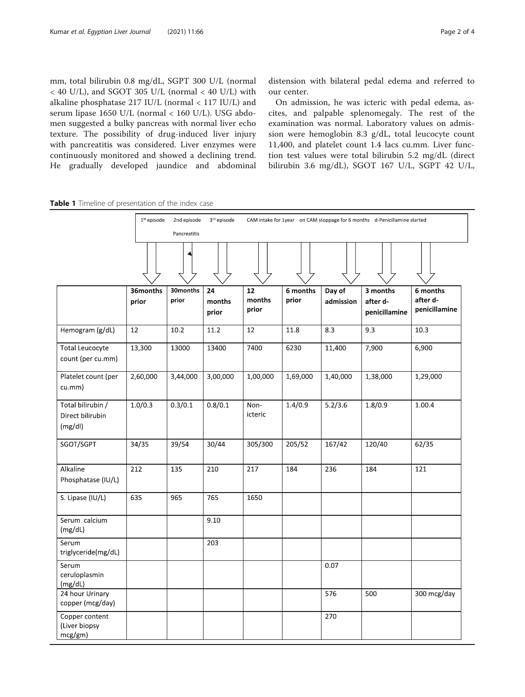<span id="page-1-0"></span>mm, total bilirubin 0.8 mg/dL, SGPT 300 U/L (normal < 40 U/L), and SGOT 305 U/L (normal < 40 U/L) with alkaline phosphatase 217 IU/L (normal < 117 IU/L) and serum lipase 1650 U/L (normal < 160 U/L). USG abdomen suggested a bulky pancreas with normal liver echo texture. The possibility of drug-induced liver injury with pancreatitis was considered. Liver enzymes were continuously monitored and showed a declining trend. He gradually developed jaundice and abdominal distension with bilateral pedal edema and referred to our center.

On admission, he was icteric with pedal edema, ascites, and palpable splenomegaly. The rest of the examination was normal. Laboratory values on admission were hemoglobin 8.3 g/dL, total leucocyte count 11,400, and platelet count 1.4 lacs cu.mm. Liver function test values were total bilirubin 5.2 mg/dL (direct bilirubin 3.6 mg/dL), SGOT 167 U/L, SGPT 42 U/L,

Table 1 Timeline of presentation of the index case

|                                            | $1st$ episode | 3rd episode<br>CAM intake for 1year on CAM stoppage for 6 months d-Penicillamine started<br>2nd episode<br>Pancreatitis |                 |                 |          |           |                           |                           |
|--------------------------------------------|---------------|-------------------------------------------------------------------------------------------------------------------------|-----------------|-----------------|----------|-----------|---------------------------|---------------------------|
|                                            |               |                                                                                                                         |                 |                 |          |           |                           |                           |
|                                            | 36months      | 30months                                                                                                                | 24              | 12              | 6 months | Day of    | 3 months                  | 6 months                  |
|                                            | prior         | prior                                                                                                                   | months<br>prior | months<br>prior | prior    | admission | after d-<br>penicillamine | after d-<br>penicillamine |
| Hemogram (g/dL)                            | 12            | 10.2                                                                                                                    | 11.2            | 12              | 11.8     | 8.3       | 9.3                       | 10.3                      |
| <b>Total Leucocyte</b>                     | 13,300        | 13000                                                                                                                   | 13400           | 7400            | 6230     | 11,400    | 7,900                     | 6,900                     |
| count (per cu.mm)                          |               |                                                                                                                         |                 |                 |          |           |                           |                           |
| Platelet count (per<br>cu.mm)              | 2,60,000      | 3,44,000                                                                                                                | 3,00,000        | 1,00,000        | 1,69,000 | 1,40,000  | 1,38,000                  | 1,29,000                  |
| Total bilirubin /                          | 1.0/0.3       | 0.3/0.1                                                                                                                 | 0.8/0.1         | Non-            | 1.4/0.9  | 5.2/3.6   | 1.8/0.9                   | 1.00.4                    |
| Direct bilirubin<br>(mg/dl)                |               |                                                                                                                         |                 | icteric         |          |           |                           |                           |
| SGOT/SGPT                                  | 34/35         | 39/54                                                                                                                   | 30/44           | 305/300         | 205/52   | 167/42    | 120/40                    | 62/35                     |
| Alkaline<br>Phosphatase (IU/L)             | 212           | 135                                                                                                                     | 210             | 217             | 184      | 236       | 184                       | 121                       |
| S. Lipase (IU/L)                           | 635           | 965                                                                                                                     | 765             | 1650            |          |           |                           |                           |
| Serum calcium<br>(mg/dL)                   |               |                                                                                                                         | 9.10            |                 |          |           |                           |                           |
| Serum<br>triglyceride(mg/dL)               |               |                                                                                                                         | 203             |                 |          |           |                           |                           |
| Serum<br>ceruloplasmin<br>(mg/dL)          |               |                                                                                                                         |                 |                 |          | 0.07      |                           |                           |
| 24 hour Urinary<br>copper (mcg/day)        |               |                                                                                                                         |                 |                 |          | 576       | 500                       | 300 mcg/day               |
| Copper content<br>(Liver biopsy<br>mcg/gm) |               |                                                                                                                         |                 |                 |          | 270       |                           |                           |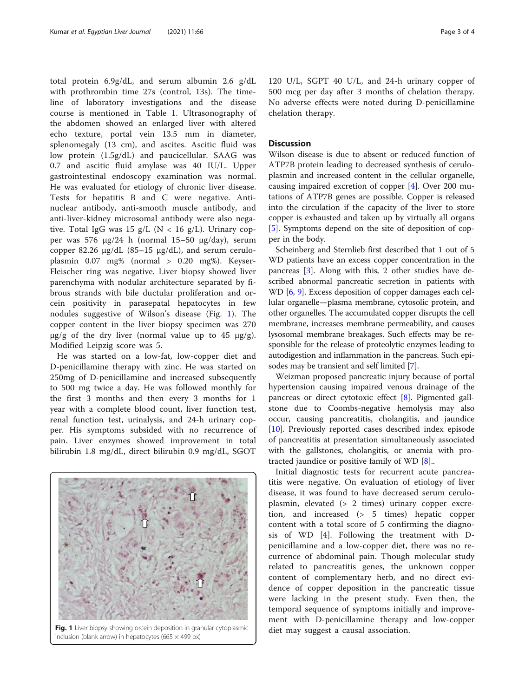total protein 6.9g/dL, and serum albumin 2.6 g/dL with prothrombin time 27s (control, 13s). The timeline of laboratory investigations and the disease course is mentioned in Table [1.](#page-1-0) Ultrasonography of the abdomen showed an enlarged liver with altered echo texture, portal vein 13.5 mm in diameter, splenomegaly (13 cm), and ascites. Ascitic fluid was low protein (1.5g/dL) and paucicellular. SAAG was 0.7 and ascitic fluid amylase was 40 IU/L. Upper gastrointestinal endoscopy examination was normal. He was evaluated for etiology of chronic liver disease. Tests for hepatitis B and C were negative. Antinuclear antibody, anti-smooth muscle antibody, and anti-liver-kidney microsomal antibody were also negative. Total IgG was 15 g/L ( $N < 16$  g/L). Urinary copper was 576 μg/24 h (normal 15–50 μg/day), serum copper 82.26 μg/dL (85–15 μg/dL), and serum ceruloplasmin 0.07 mg% (normal > 0.20 mg%). Keyser-Fleischer ring was negative. Liver biopsy showed liver parenchyma with nodular architecture separated by fibrous strands with bile ductular proliferation and orcein positivity in parasepatal hepatocytes in few nodules suggestive of Wilson's disease (Fig. 1). The copper content in the liver biopsy specimen was 270  $\mu$ g/g of the dry liver (normal value up to 45  $\mu$ g/g). Modified Leipzig score was 5.

He was started on a low-fat, low-copper diet and D-penicillamine therapy with zinc. He was started on 250mg of D-penicillamine and increased subsequently to 500 mg twice a day. He was followed monthly for the first 3 months and then every 3 months for 1 year with a complete blood count, liver function test, renal function test, urinalysis, and 24-h urinary copper. His symptoms subsided with no recurrence of pain. Liver enzymes showed improvement in total bilirubin 1.8 mg/dL, direct bilirubin 0.9 mg/dL, SGOT



Fig. 1 Liver biopsy showing orcein deposition in granular cytoplasmic diet may suggest a causal association. inclusion (blank arrow) in hepatocytes (665  $\times$  499 px)

120 U/L, SGPT 40 U/L, and 24-h urinary copper of 500 mcg per day after 3 months of chelation therapy. No adverse effects were noted during D-penicillamine chelation therapy.

## **Discussion**

Wilson disease is due to absent or reduced function of ATP7B protein leading to decreased synthesis of ceruloplasmin and increased content in the cellular organelle, causing impaired excretion of copper [[4\]](#page-3-0). Over 200 mutations of ATP7B genes are possible. Copper is released into the circulation if the capacity of the liver to store copper is exhausted and taken up by virtually all organs [[5\]](#page-3-0). Symptoms depend on the site of deposition of copper in the body.

Scheinberg and Sternlieb first described that 1 out of 5 WD patients have an excess copper concentration in the pancreas [[3](#page-3-0)]. Along with this, 2 other studies have described abnormal pancreatic secretion in patients with WD [[6,](#page-3-0) [9](#page-3-0)]. Excess deposition of copper damages each cellular organelle—plasma membrane, cytosolic protein, and other organelles. The accumulated copper disrupts the cell membrane, increases membrane permeability, and causes lysosomal membrane breakages. Such effects may be responsible for the release of proteolytic enzymes leading to autodigestion and inflammation in the pancreas. Such episodes may be transient and self limited [\[7](#page-3-0)].

Weizman proposed pancreatic injury because of portal hypertension causing impaired venous drainage of the pancreas or direct cytotoxic effect [[8\]](#page-3-0). Pigmented gallstone due to Coombs-negative hemolysis may also occur, causing pancreatitis, cholangitis, and jaundice [[10\]](#page-3-0). Previously reported cases described index episode of pancreatitis at presentation simultaneously associated with the gallstones, cholangitis, or anemia with protracted jaundice or positive family of WD [\[8](#page-3-0)]..

Initial diagnostic tests for recurrent acute pancreatitis were negative. On evaluation of etiology of liver disease, it was found to have decreased serum ceruloplasmin, elevated (> 2 times) urinary copper excretion, and increased (> 5 times) hepatic copper content with a total score of 5 confirming the diagnosis of WD [\[4](#page-3-0)]. Following the treatment with Dpenicillamine and a low-copper diet, there was no recurrence of abdominal pain. Though molecular study related to pancreatitis genes, the unknown copper content of complementary herb, and no direct evidence of copper deposition in the pancreatic tissue were lacking in the present study. Even then, the temporal sequence of symptoms initially and improvement with D-penicillamine therapy and low-copper